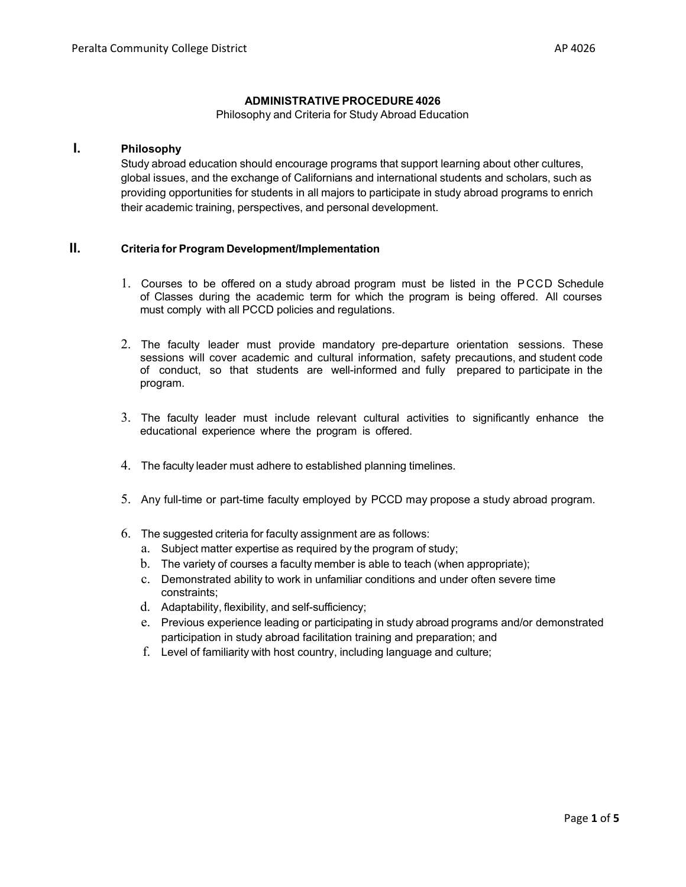#### **ADMINISTRATIVE PROCEDURE 4026**

Philosophy and Criteria for Study Abroad Education

# **I. Philosophy**

Study abroad education should encourage programs that support learning about other cultures, global issues, and the exchange of Californians and international students and scholars, such as providing opportunities for students in all majors to participate in study abroad programs to enrich their academic training, perspectives, and personal development.

# **II. Criteria for Program Development/Implementation**

- 1. Courses to be offered on a study abroad program must be listed in the PCCD Schedule of Classes during the academic term for which the program is being offered. All courses must comply with all PCCD policies and regulations.
- 2. The faculty leader must provide mandatory pre-departure orientation sessions. These sessions will cover academic and cultural information, safety precautions, and student code of conduct, so that students are well-informed and fully prepared to participate in the program.
- 3. The faculty leader must include relevant cultural activities to significantly enhance the educational experience where the program is offered.
- 4. The faculty leader must adhere to established planning timelines.
- 5. Any full-time or part-time faculty employed by PCCD may propose a study abroad program.
- 6. The suggested criteria for faculty assignment are as follows:
	- a. Subject matter expertise as required by the program of study;
	- b. The variety of courses a faculty member is able to teach (when appropriate);
	- c. Demonstrated ability to work in unfamiliar conditions and under often severe time constraints;
	- d. Adaptability, flexibility, and self-sufficiency;
	- e. Previous experience leading or participating in study abroad programs and/or demonstrated participation in study abroad facilitation training and preparation; and
	- f. Level of familiarity with host country, including language and culture;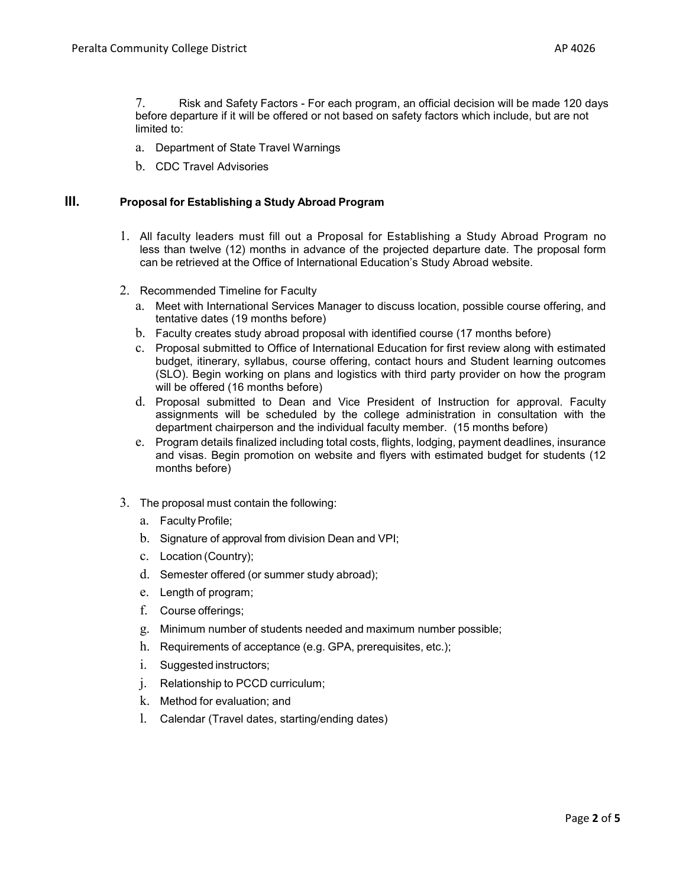7. Risk and Safety Factors - For each program, an official decision will be made 120 days before departure if it will be offered or not based on safety factors which include, but are not limited to:

- a. Department of State Travel Warnings
- b. CDC Travel Advisories

### **III. Proposal for Establishing a Study Abroad Program**

- 1. All faculty leaders must fill out a Proposal for Establishing a Study Abroad Program no less than twelve (12) months in advance of the projected departure date. The proposal form can be retrieved at the Office of International Education's Study Abroad website.
- 2. Recommended Timeline for Faculty
	- a. Meet with International Services Manager to discuss location, possible course offering, and tentative dates (19 months before)
	- b. Faculty creates study abroad proposal with identified course (17 months before)
	- c. Proposal submitted to Office of International Education for first review along with estimated budget, itinerary, syllabus, course offering, contact hours and Student learning outcomes (SLO). Begin working on plans and logistics with third party provider on how the program will be offered (16 months before)
	- d. Proposal submitted to Dean and Vice President of Instruction for approval. Faculty assignments will be scheduled by the college administration in consultation with the department chairperson and the individual faculty member. (15 months before)
	- e. Program details finalized including total costs, flights, lodging, payment deadlines, insurance and visas. Begin promotion on website and flyers with estimated budget for students (12 months before)
- 3. The proposal must contain the following:
	- a. Faculty Profile;
	- b. Signature of approval from division Dean and VPI;
	- c. Location (Country);
	- d. Semester offered (or summer study abroad);
	- e. Length of program;
	- f. Course offerings;
	- g. Minimum number of students needed and maximum number possible;
	- h. Requirements of acceptance (e.g. GPA, prerequisites, etc.);
	- i. Suggested instructors;
	- j. Relationship to PCCD curriculum;
	- k. Method for evaluation; and
	- l. Calendar (Travel dates, starting/ending dates)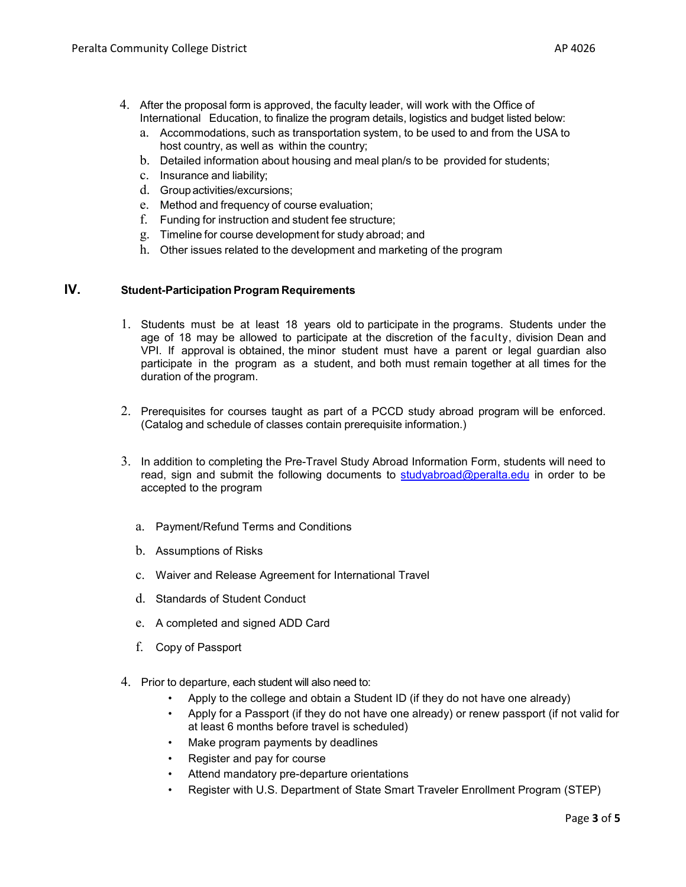- 4. After the proposal form is approved, the faculty leader, will work with the Office of International Education, to finalize the program details, logistics and budget listed below:
	- a. Accommodations, such as transportation system, to be used to and from the USA to host country, as well as within the country;
	- b. Detailed information about housing and meal plan/s to be provided for students;
	- c. Insurance and liability;
	- d. Groupactivities/excursions;
	- e. Method and frequency of course evaluation;
	- f. Funding for instruction and student fee structure;
	- g. Timeline for course development for study abroad; and
	- h. Other issues related to the development and marketing of the program

# **IV. Student-Participation Program Requirements**

- 1. Students must be at least 18 years old to participate in the programs. Students under the age of 18 may be allowed to participate at the discretion of the faculty, division Dean and VPI. If approval is obtained, the minor student must have a parent or legal guardian also participate in the program as a student, and both must remain together at all times for the duration of the program.
- 2. Prerequisites for courses taught as part of a PCCD study abroad program will be enforced. (Catalog and schedule of classes contain prerequisite information.)
- 3. In addition to completing the Pre-Travel Study Abroad Information Form, students will need to read, sign and submit the following documents to [studyabroad@peralta.edu](about:blank) in order to be accepted to the program
	- a. Payment/Refund Terms and Conditions
	- b. Assumptions of Risks
	- c. Waiver and Release Agreement for International Travel
	- d. Standards of Student Conduct
	- e. A completed and signed ADD Card
	- f. Copy of Passport
- 4. Prior to departure, each student will also need to:
	- Apply to the college and obtain a Student ID (if they do not have one already)
	- Apply for a Passport (if they do not have one already) or renew passport (if not valid for at least 6 months before travel is scheduled)
	- Make program payments by deadlines
	- Register and pay for course
	- Attend mandatory pre-departure orientations
	- Register with U.S. Department of State Smart Traveler Enrollment Program (STEP)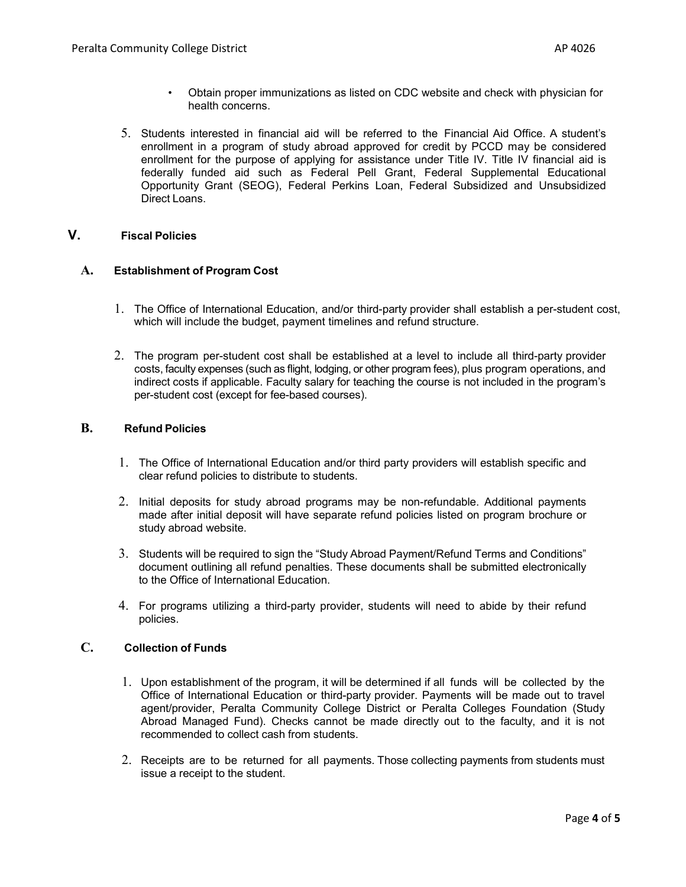- Obtain proper immunizations as listed on CDC website and check with physician for health concerns.
- 5. Students interested in financial aid will be referred to the Financial Aid Office. A student's enrollment in a program of study abroad approved for credit by PCCD may be considered enrollment for the purpose of applying for assistance under Title IV. Title IV financial aid is federally funded aid such as Federal Pell Grant, Federal Supplemental Educational Opportunity Grant (SEOG), Federal Perkins Loan, Federal Subsidized and Unsubsidized Direct Loans.

# **V. Fiscal Policies**

#### **A. Establishment of Program Cost**

- 1. The Office of International Education, and/or third-party provider shall establish a per-student cost, which will include the budget, payment timelines and refund structure.
- 2. The program per-student cost shall be established at a level to include all third-party provider costs, faculty expenses (such as flight, lodging, or other program fees), plus program operations, and indirect costs if applicable. Faculty salary for teaching the course is not included in the program's per-student cost (except for fee-based courses).

### **B. Refund Policies**

- 1. The Office of International Education and/or third party providers will establish specific and clear refund policies to distribute to students.
- 2. Initial deposits for study abroad programs may be non-refundable. Additional payments made after initial deposit will have separate refund policies listed on program brochure or study abroad website.
- 3. Students will be required to sign the "Study Abroad Payment/Refund Terms and Conditions" document outlining all refund penalties. These documents shall be submitted electronically to the Office of International Education.
- 4. For programs utilizing a third-party provider, students will need to abide by their refund policies.

#### **C. Collection of Funds**

- 1. Upon establishment of the program, it will be determined if all funds will be collected by the Office of International Education or third-party provider. Payments will be made out to travel agent/provider, Peralta Community College District or Peralta Colleges Foundation (Study Abroad Managed Fund). Checks cannot be made directly out to the faculty, and it is not recommended to collect cash from students.
- 2. Receipts are to be returned for all payments. Those collecting payments from students must issue a receipt to the student.